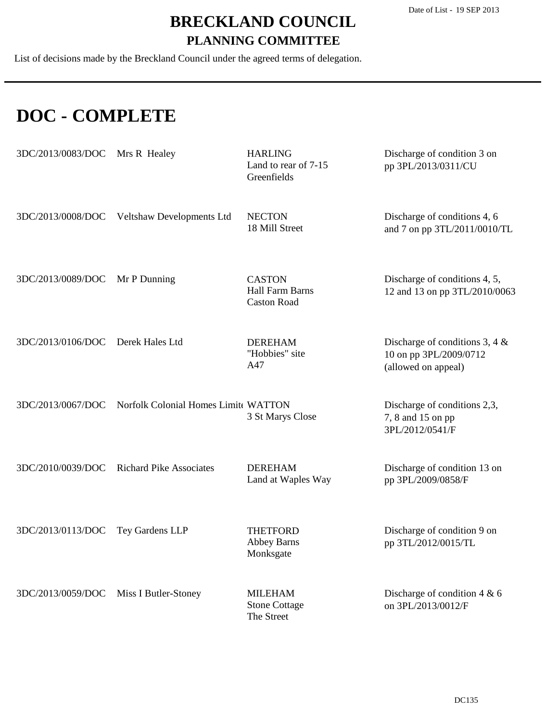List of decisions made by the Breckland Council under the agreed terms of delegation.

### **DOC - COMPLETE**

| 3DC/2013/0083/DOC | Mrs R Healey                                | <b>HARLING</b><br>Land to rear of 7-15<br>Greenfields         | Discharge of condition 3 on<br>pp 3PL/2013/0311/CU                                 |
|-------------------|---------------------------------------------|---------------------------------------------------------------|------------------------------------------------------------------------------------|
|                   | 3DC/2013/0008/DOC Veltshaw Developments Ltd | <b>NECTON</b><br>18 Mill Street                               | Discharge of conditions 4, 6<br>and 7 on pp 3TL/2011/0010/TL                       |
| 3DC/2013/0089/DOC | Mr P Dunning                                | <b>CASTON</b><br><b>Hall Farm Barns</b><br><b>Caston Road</b> | Discharge of conditions 4, 5,<br>12 and 13 on pp 3TL/2010/0063                     |
| 3DC/2013/0106/DOC | Derek Hales Ltd                             | <b>DEREHAM</b><br>"Hobbies" site<br>A47                       | Discharge of conditions 3, 4 $\&$<br>10 on pp 3PL/2009/0712<br>(allowed on appeal) |
| 3DC/2013/0067/DOC | Norfolk Colonial Homes Limit WATTON         | 3 St Marys Close                                              | Discharge of conditions 2,3,<br>7, 8 and 15 on pp<br>3PL/2012/0541/F               |
| 3DC/2010/0039/DOC | <b>Richard Pike Associates</b>              | <b>DEREHAM</b><br>Land at Waples Way                          | Discharge of condition 13 on<br>pp 3PL/2009/0858/F                                 |
| 3DC/2013/0113/DOC | Tey Gardens LLP                             | <b>THETFORD</b><br><b>Abbey Barns</b><br>Monksgate            | Discharge of condition 9 on<br>pp 3TL/2012/0015/TL                                 |
| 3DC/2013/0059/DOC | Miss I Butler-Stoney                        | <b>MILEHAM</b><br><b>Stone Cottage</b><br>The Street          | Discharge of condition $4 & 6$<br>on 3PL/2013/0012/F                               |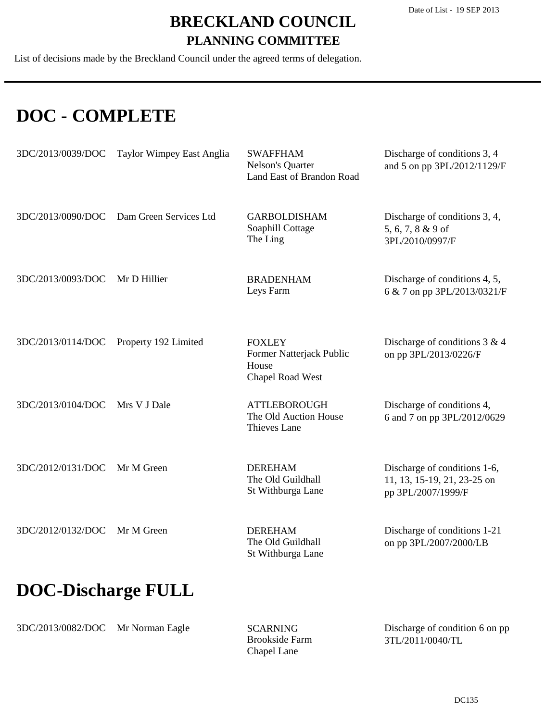List of decisions made by the Breckland Council under the agreed terms of delegation.

### **DOC - COMPLETE**

| 3DC/2013/0039/DOC         | Taylor Wimpey East Anglia | <b>SWAFFHAM</b><br>Nelson's Quarter<br>Land East of Brandon Road       | Discharge of conditions 3, 4<br>and 5 on pp 3PL/2012/1129/F                       |
|---------------------------|---------------------------|------------------------------------------------------------------------|-----------------------------------------------------------------------------------|
| 3DC/2013/0090/DOC         | Dam Green Services Ltd    | <b>GARBOLDISHAM</b><br>Soaphill Cottage<br>The Ling                    | Discharge of conditions 3, 4,<br>5, 6, 7, 8 & 9 of<br>3PL/2010/0997/F             |
| 3DC/2013/0093/DOC         | Mr D Hillier              | <b>BRADENHAM</b><br>Leys Farm                                          | Discharge of conditions 4, 5,<br>6 & 7 on pp 3PL/2013/0321/F                      |
| 3DC/2013/0114/DOC         | Property 192 Limited      | <b>FOXLEY</b><br>Former Natterjack Public<br>House<br>Chapel Road West | Discharge of conditions $3 & 4$<br>on pp 3PL/2013/0226/F                          |
| 3DC/2013/0104/DOC         | Mrs V J Dale              | <b>ATTLEBOROUGH</b><br>The Old Auction House<br>Thieves Lane           | Discharge of conditions 4,<br>6 and 7 on pp 3PL/2012/0629                         |
| 3DC/2012/0131/DOC         | Mr M Green                | <b>DEREHAM</b><br>The Old Guildhall<br>St Withburga Lane               | Discharge of conditions 1-6,<br>11, 13, 15-19, 21, 23-25 on<br>pp 3PL/2007/1999/F |
| 3DC/2012/0132/DOC         | Mr M Green                | <b>DEREHAM</b><br>The Old Guildhall<br>St Withburga Lane               | Discharge of conditions 1-21<br>on pp 3PL/2007/2000/LB                            |
| <b>DOC-Discharge FULL</b> |                           |                                                                        |                                                                                   |

3DC/2013/0082/DOC Mr Norman Eagle

Brookside Farm Chapel Lane SCARNING

Discharge of condition 6 on pp 3TL/2011/0040/TL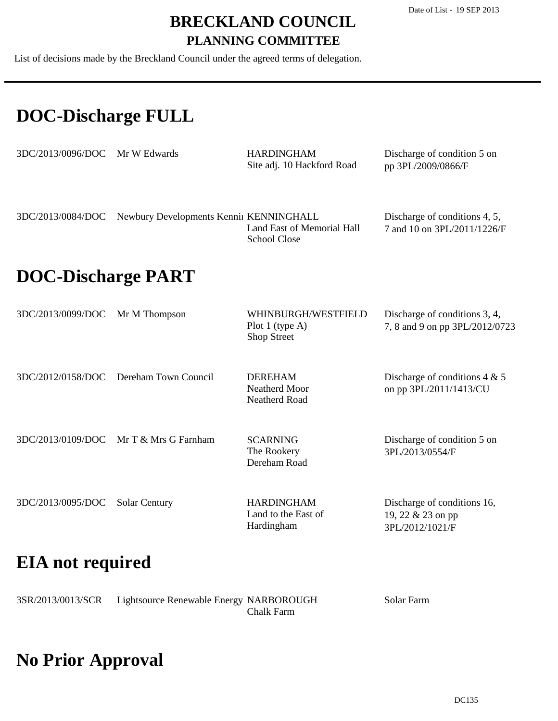List of decisions made by the Breckland Council under the agreed terms of delegation.

### **DOC-Discharge FULL**

| $3DC/2013/0096/DOC$ Mr W Edwards |                                         | <b>HARDINGHAM</b><br>Site adj. 10 Hackford Road   | Discharge of condition 5 on<br>pp 3PL/2009/0866/F            |
|----------------------------------|-----------------------------------------|---------------------------------------------------|--------------------------------------------------------------|
| 3DC/2013/0084/DOC                | Newbury Developments Kennii KENNINGHALL | Land East of Memorial Hall<br><b>School Close</b> | Discharge of conditions 4, 5,<br>7 and 10 on 3PL/2011/1226/F |
| <b>DOC-Discharge PART</b>        |                                         |                                                   |                                                              |

| 3DC/2013/0099/DOC Mr M Thompson |                                          | WHINBURGH/WESTFIELD<br>Plot 1 (type $A$ )<br>Shop Street | Discharge of conditions 3, 4,<br>7, 8 and 9 on pp 3PL/2012/0723     |
|---------------------------------|------------------------------------------|----------------------------------------------------------|---------------------------------------------------------------------|
|                                 | 3DC/2012/0158/DOC Dereham Town Council   | <b>DEREHAM</b><br>Neatherd Moor<br>Neatherd Road         | Discharge of conditions $4 & 5$<br>on pp 3PL/2011/1413/CU           |
|                                 | $3DC/2013/0109/DOC$ Mr T & Mrs G Farnham | <b>SCARNING</b><br>The Rookery<br>Dereham Road           | Discharge of condition 5 on<br>3PL/2013/0554/F                      |
| 3DC/2013/0095/DOC               | <b>Solar Century</b>                     | <b>HARDINGHAM</b><br>Land to the East of<br>Hardingham   | Discharge of conditions 16,<br>19, 22 & 23 on pp<br>3PL/2012/1021/F |

### **EIA not required**

| 3SR/2013/0013/SCR | Lightsource Renewable Energy NARBOROUGH |            | Solar Farm |
|-------------------|-----------------------------------------|------------|------------|
|                   |                                         | Chalk Farm |            |

# **No Prior Approval**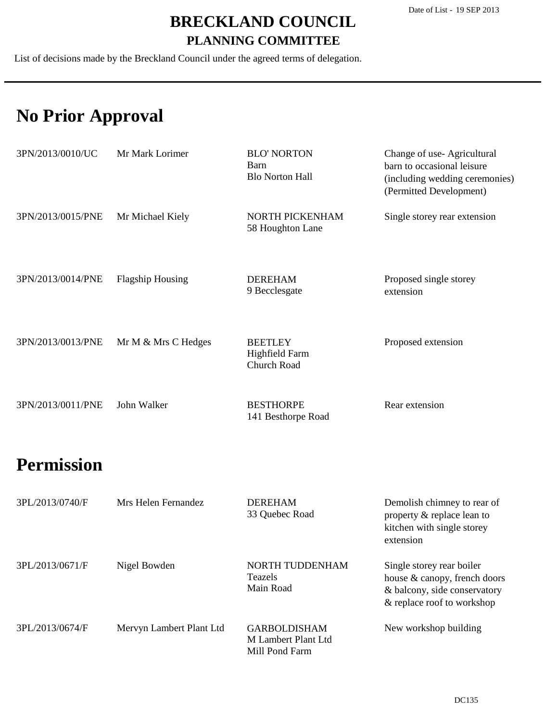List of decisions made by the Breckland Council under the agreed terms of delegation.

### **No Prior Approval**

| 3PN/2013/0010/UC  | Mr Mark Lorimer         | <b>BLO' NORTON</b><br>Barn<br><b>Blo Norton Hall</b>   | Change of use-Agricultural<br>barn to occasional leisure<br>(including wedding ceremonies)<br>(Permitted Development)   |
|-------------------|-------------------------|--------------------------------------------------------|-------------------------------------------------------------------------------------------------------------------------|
| 3PN/2013/0015/PNE | Mr Michael Kiely        | NORTH PICKENHAM<br>58 Houghton Lane                    | Single storey rear extension                                                                                            |
| 3PN/2013/0014/PNE | <b>Flagship Housing</b> | <b>DEREHAM</b><br>9 Becclesgate                        | Proposed single storey<br>extension                                                                                     |
| 3PN/2013/0013/PNE | Mr M & Mrs C Hedges     | <b>BEETLEY</b><br><b>Highfield Farm</b><br>Church Road | Proposed extension                                                                                                      |
| 3PN/2013/0011/PNE | John Walker             | <b>BESTHORPE</b><br>141 Besthorpe Road                 | Rear extension                                                                                                          |
| <b>Permission</b> |                         |                                                        |                                                                                                                         |
| 3PL/2013/0740/F   | Mrs Helen Fernandez     | <b>DEREHAM</b><br>33 Quebec Road                       | Demolish chimney to rear of<br>property & replace lean to<br>kitchen with single storey<br>extension                    |
| 3PL/2013/0671/F   | Nigel Bowden            | NORTH TUDDENHAM<br>Teazels<br>Main Road                | Single storey rear boiler<br>house & canopy, french doors<br>& balcony, side conservatory<br>& replace roof to workshop |

| 3PL/2013/0674/F | Mervyn Lambert Plant Ltd | <b>GARBOLDISHAM</b> | New workshop building |
|-----------------|--------------------------|---------------------|-----------------------|
|                 |                          | M Lambert Plant Ltd |                       |
|                 |                          | Mill Pond Farm      |                       |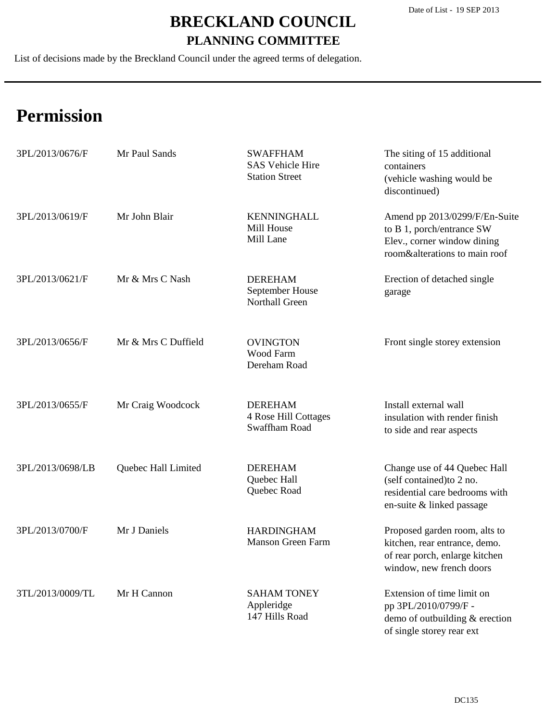List of decisions made by the Breckland Council under the agreed terms of delegation.

| 3PL/2013/0676/F  | Mr Paul Sands       | <b>SWAFFHAM</b><br><b>SAS Vehicle Hire</b><br><b>Station Street</b> | The siting of 15 additional<br>containers<br>(vehicle washing would be<br>discontinued)                                      |
|------------------|---------------------|---------------------------------------------------------------------|------------------------------------------------------------------------------------------------------------------------------|
| 3PL/2013/0619/F  | Mr John Blair       | <b>KENNINGHALL</b><br>Mill House<br>Mill Lane                       | Amend pp 2013/0299/F/En-Suite<br>to B 1, porch/entrance SW<br>Elev., corner window dining<br>room&alterations to main roof   |
| 3PL/2013/0621/F  | Mr & Mrs C Nash     | <b>DEREHAM</b><br>September House<br>Northall Green                 | Erection of detached single<br>garage                                                                                        |
| 3PL/2013/0656/F  | Mr & Mrs C Duffield | <b>OVINGTON</b><br>Wood Farm<br>Dereham Road                        | Front single storey extension                                                                                                |
| 3PL/2013/0655/F  | Mr Craig Woodcock   | <b>DEREHAM</b><br>4 Rose Hill Cottages<br>Swaffham Road             | Install external wall<br>insulation with render finish<br>to side and rear aspects                                           |
| 3PL/2013/0698/LB | Quebec Hall Limited | <b>DEREHAM</b><br>Quebec Hall<br>Quebec Road                        | Change use of 44 Quebec Hall<br>(self contained) to 2 no.<br>residential care bedrooms with<br>en-suite & linked passage     |
| 3PL/2013/0700/F  | Mr J Daniels        | <b>HARDINGHAM</b><br><b>Manson Green Farm</b>                       | Proposed garden room, alts to<br>kitchen, rear entrance, demo.<br>of rear porch, enlarge kitchen<br>window, new french doors |
| 3TL/2013/0009/TL | Mr H Cannon         | <b>SAHAM TONEY</b><br>Appleridge<br>147 Hills Road                  | Extension of time limit on<br>pp 3PL/2010/0799/F -<br>demo of outbuilding & erection<br>of single storey rear ext            |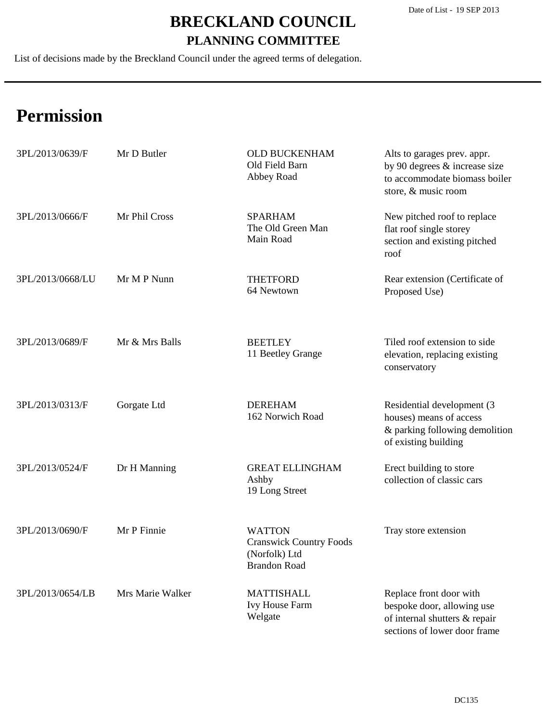List of decisions made by the Breckland Council under the agreed terms of delegation.

| 3PL/2013/0639/F  | Mr D Butler      | <b>OLD BUCKENHAM</b><br>Old Field Barn<br>Abbey Road                                    | Alts to garages prev. appr.<br>by 90 degrees & increase size<br>to accommodate biomass boiler<br>store, & music room   |
|------------------|------------------|-----------------------------------------------------------------------------------------|------------------------------------------------------------------------------------------------------------------------|
| 3PL/2013/0666/F  | Mr Phil Cross    | <b>SPARHAM</b><br>The Old Green Man<br>Main Road                                        | New pitched roof to replace<br>flat roof single storey<br>section and existing pitched<br>roof                         |
| 3PL/2013/0668/LU | Mr M P Nunn      | <b>THETFORD</b><br>64 Newtown                                                           | Rear extension (Certificate of<br>Proposed Use)                                                                        |
| 3PL/2013/0689/F  | Mr & Mrs Balls   | <b>BEETLEY</b><br>11 Beetley Grange                                                     | Tiled roof extension to side<br>elevation, replacing existing<br>conservatory                                          |
| 3PL/2013/0313/F  | Gorgate Ltd      | <b>DEREHAM</b><br>162 Norwich Road                                                      | Residential development (3<br>houses) means of access<br>& parking following demolition<br>of existing building        |
| 3PL/2013/0524/F  | Dr H Manning     | <b>GREAT ELLINGHAM</b><br>Ashby<br>19 Long Street                                       | Erect building to store<br>collection of classic cars                                                                  |
| 3PL/2013/0690/F  | Mr P Finnie      | <b>WATTON</b><br><b>Cranswick Country Foods</b><br>(Norfolk) Ltd<br><b>Brandon Road</b> | Tray store extension                                                                                                   |
| 3PL/2013/0654/LB | Mrs Marie Walker | <b>MATTISHALL</b><br><b>Ivy House Farm</b><br>Welgate                                   | Replace front door with<br>bespoke door, allowing use<br>of internal shutters & repair<br>sections of lower door frame |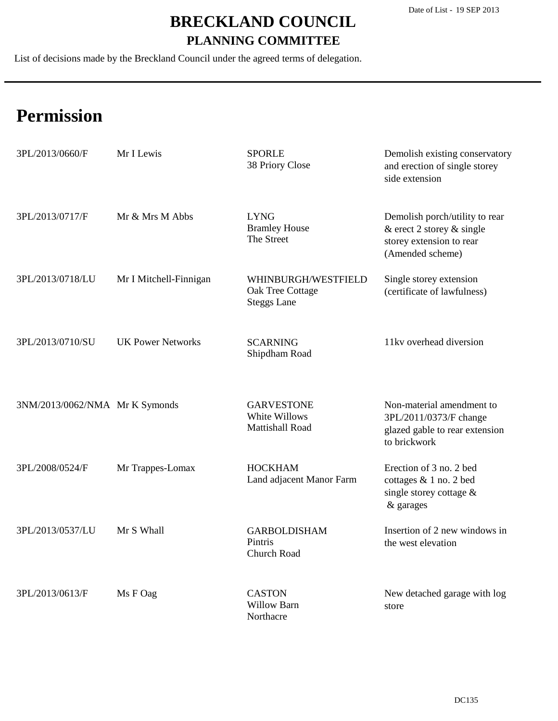List of decisions made by the Breckland Council under the agreed terms of delegation.

| 3PL/2013/0660/F                | Mr I Lewis               | <b>SPORLE</b><br>38 Priory Close                              | Demolish existing conservatory<br>and erection of single storey<br>side extension                              |
|--------------------------------|--------------------------|---------------------------------------------------------------|----------------------------------------------------------------------------------------------------------------|
| 3PL/2013/0717/F                | Mr & Mrs M Abbs          | <b>LYNG</b><br><b>Bramley House</b><br>The Street             | Demolish porch/utility to rear<br>& erect 2 storey $\&$ single<br>storey extension to rear<br>(Amended scheme) |
| 3PL/2013/0718/LU               | Mr I Mitchell-Finnigan   | WHINBURGH/WESTFIELD<br>Oak Tree Cottage<br><b>Steggs Lane</b> | Single storey extension<br>(certificate of lawfulness)                                                         |
| 3PL/2013/0710/SU               | <b>UK Power Networks</b> | <b>SCARNING</b><br>Shipdham Road                              | 11kv overhead diversion                                                                                        |
| 3NM/2013/0062/NMA Mr K Symonds |                          | <b>GARVESTONE</b><br>White Willows<br>Mattishall Road         | Non-material amendment to<br>3PL/2011/0373/F change<br>glazed gable to rear extension<br>to brickwork          |
| 3PL/2008/0524/F                | Mr Trappes-Lomax         | <b>HOCKHAM</b><br>Land adjacent Manor Farm                    | Erection of 3 no. 2 bed<br>cottages & 1 no. 2 bed<br>single storey cottage &<br>$\&$ garages                   |
| 3PL/2013/0537/LU               | Mr S Whall               | <b>GARBOLDISHAM</b><br>Pintris<br><b>Church Road</b>          | Insertion of 2 new windows in<br>the west elevation                                                            |
| 3PL/2013/0613/F                | Ms F Oag                 | <b>CASTON</b><br><b>Willow Barn</b><br>Northacre              | New detached garage with log<br>store                                                                          |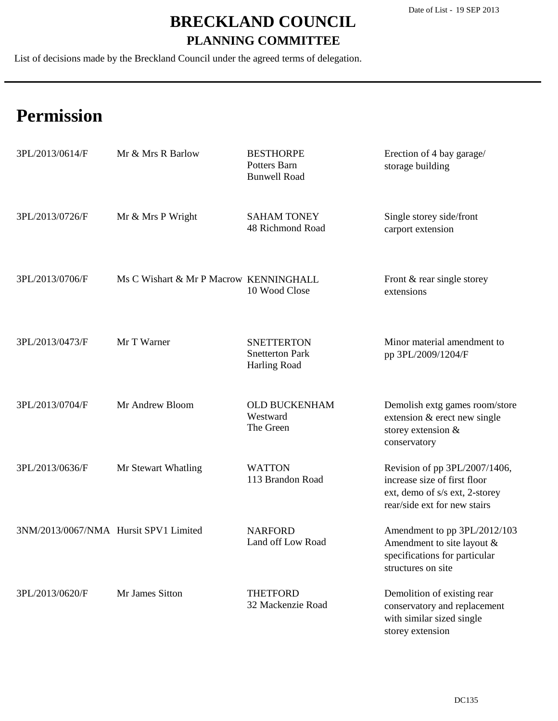List of decisions made by the Breckland Council under the agreed terms of delegation.

| 3PL/2013/0614/F                       | Mr & Mrs R Barlow                      | <b>BESTHORPE</b><br>Potters Barn<br><b>Bunwell Road</b>     | Erection of 4 bay garage/<br>storage building                                                                                   |
|---------------------------------------|----------------------------------------|-------------------------------------------------------------|---------------------------------------------------------------------------------------------------------------------------------|
| 3PL/2013/0726/F                       | Mr & Mrs P Wright                      | <b>SAHAM TONEY</b><br>48 Richmond Road                      | Single storey side/front<br>carport extension                                                                                   |
| 3PL/2013/0706/F                       | Ms C Wishart & Mr P Macrow KENNINGHALL | 10 Wood Close                                               | Front & rear single storey<br>extensions                                                                                        |
| 3PL/2013/0473/F                       | Mr T Warner                            | <b>SNETTERTON</b><br><b>Snetterton Park</b><br>Harling Road | Minor material amendment to<br>pp 3PL/2009/1204/F                                                                               |
| 3PL/2013/0704/F                       | Mr Andrew Bloom                        | <b>OLD BUCKENHAM</b><br>Westward<br>The Green               | Demolish extg games room/store<br>extension & erect new single<br>storey extension &<br>conservatory                            |
| 3PL/2013/0636/F                       | Mr Stewart Whatling                    | <b>WATTON</b><br>113 Brandon Road                           | Revision of pp 3PL/2007/1406,<br>increase size of first floor<br>ext, demo of s/s ext, 2-storey<br>rear/side ext for new stairs |
| 3NM/2013/0067/NMA Hursit SPV1 Limited |                                        | <b>NARFORD</b><br>Land off Low Road                         | Amendment to pp 3PL/2012/103<br>Amendment to site layout &<br>specifications for particular<br>structures on site               |
| 3PL/2013/0620/F                       | Mr James Sitton                        | <b>THETFORD</b><br>32 Mackenzie Road                        | Demolition of existing rear<br>conservatory and replacement<br>with similar sized single<br>storey extension                    |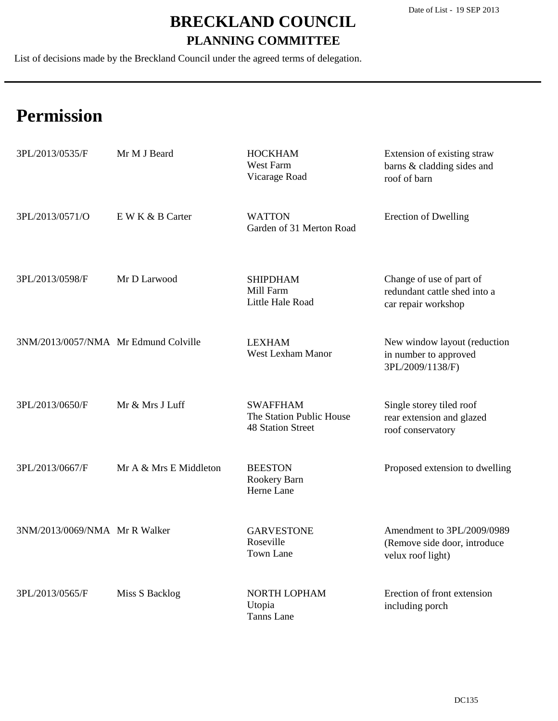List of decisions made by the Breckland Council under the agreed terms of delegation.

| 3PL/2013/0535/F                      | Mr M J Beard           | <b>HOCKHAM</b><br>West Farm<br>Vicarage Road                            | Extension of existing straw<br>barns & cladding sides and<br>roof of barn       |
|--------------------------------------|------------------------|-------------------------------------------------------------------------|---------------------------------------------------------------------------------|
| 3PL/2013/0571/O                      | E W K & B Carter       | <b>WATTON</b><br>Garden of 31 Merton Road                               | <b>Erection of Dwelling</b>                                                     |
| 3PL/2013/0598/F                      | Mr D Larwood           | <b>SHIPDHAM</b><br>Mill Farm<br>Little Hale Road                        | Change of use of part of<br>redundant cattle shed into a<br>car repair workshop |
| 3NM/2013/0057/NMA Mr Edmund Colville |                        | <b>LEXHAM</b><br><b>West Lexham Manor</b>                               | New window layout (reduction<br>in number to approved<br>3PL/2009/1138/F)       |
| 3PL/2013/0650/F                      | Mr & Mrs J Luff        | <b>SWAFFHAM</b><br>The Station Public House<br><b>48 Station Street</b> | Single storey tiled roof<br>rear extension and glazed<br>roof conservatory      |
| 3PL/2013/0667/F                      | Mr A & Mrs E Middleton | <b>BEESTON</b><br>Rookery Barn<br>Herne Lane                            | Proposed extension to dwelling                                                  |
| 3NM/2013/0069/NMA Mr R Walker        |                        | <b>GARVESTONE</b><br>Roseville<br>Town Lane                             | Amendment to 3PL/2009/0989<br>(Remove side door, introduce<br>velux roof light) |
| 3PL/2013/0565/F                      | Miss S Backlog         | NORTH LOPHAM<br>Utopia<br>Tanns Lane                                    | Erection of front extension<br>including porch                                  |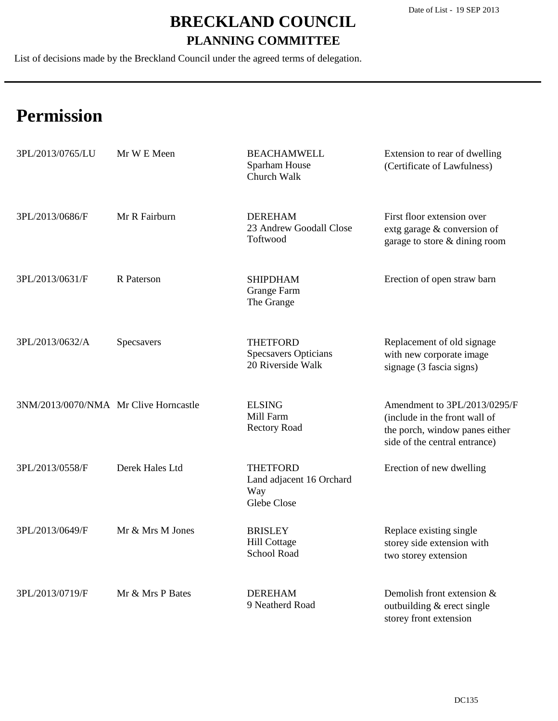List of decisions made by the Breckland Council under the agreed terms of delegation.

| 3PL/2013/0765/LU                      | Mr W E Meen      | <b>BEACHAMWELL</b><br>Sparham House<br>Church Walk                  | Extension to rear of dwelling<br>(Certificate of Lawfulness)                                                                     |
|---------------------------------------|------------------|---------------------------------------------------------------------|----------------------------------------------------------------------------------------------------------------------------------|
| 3PL/2013/0686/F                       | Mr R Fairburn    | <b>DEREHAM</b><br>23 Andrew Goodall Close<br>Toftwood               | First floor extension over<br>extg garage & conversion of<br>garage to store & dining room                                       |
| 3PL/2013/0631/F                       | R Paterson       | <b>SHIPDHAM</b><br><b>Grange Farm</b><br>The Grange                 | Erection of open straw barn                                                                                                      |
| 3PL/2013/0632/A                       | Specsavers       | <b>THETFORD</b><br><b>Specsavers Opticians</b><br>20 Riverside Walk | Replacement of old signage<br>with new corporate image<br>signage (3 fascia signs)                                               |
| 3NM/2013/0070/NMA Mr Clive Horncastle |                  | <b>ELSING</b><br>Mill Farm<br><b>Rectory Road</b>                   | Amendment to 3PL/2013/0295/F<br>(include in the front wall of<br>the porch, window panes either<br>side of the central entrance) |
| 3PL/2013/0558/F                       | Derek Hales Ltd  | <b>THETFORD</b><br>Land adjacent 16 Orchard<br>Way<br>Glebe Close   | Erection of new dwelling                                                                                                         |
| 3PL/2013/0649/F                       | Mr & Mrs M Jones | <b>BRISLEY</b><br><b>Hill Cottage</b><br>School Road                | Replace existing single<br>storey side extension with<br>two storey extension                                                    |
| 3PL/2013/0719/F                       | Mr & Mrs P Bates | <b>DEREHAM</b><br>9 Neatherd Road                                   | Demolish front extension &<br>outbuilding & erect single<br>storey front extension                                               |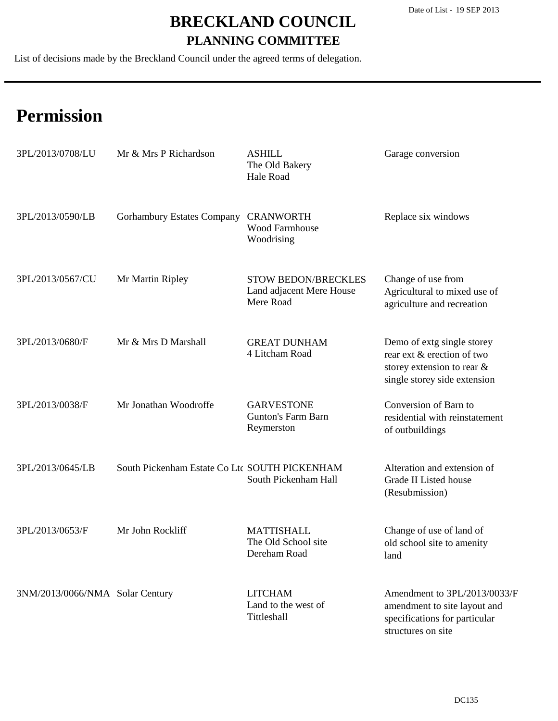List of decisions made by the Breckland Council under the agreed terms of delegation.

| 3PL/2013/0708/LU                | Mr & Mrs P Richardson                         | <b>ASHILL</b><br>The Old Bakery<br>Hale Road                        | Garage conversion                                                                                                      |
|---------------------------------|-----------------------------------------------|---------------------------------------------------------------------|------------------------------------------------------------------------------------------------------------------------|
| 3PL/2013/0590/LB                | <b>Gorhambury Estates Company</b>             | <b>CRANWORTH</b><br><b>Wood Farmhouse</b><br>Woodrising             | Replace six windows                                                                                                    |
| 3PL/2013/0567/CU                | Mr Martin Ripley                              | <b>STOW BEDON/BRECKLES</b><br>Land adjacent Mere House<br>Mere Road | Change of use from<br>Agricultural to mixed use of<br>agriculture and recreation                                       |
| 3PL/2013/0680/F                 | Mr & Mrs D Marshall                           | <b>GREAT DUNHAM</b><br>4 Litcham Road                               | Demo of extg single storey<br>rear ext & erection of two<br>storey extension to rear &<br>single storey side extension |
| 3PL/2013/0038/F                 | Mr Jonathan Woodroffe                         | <b>GARVESTONE</b><br><b>Gunton's Farm Barn</b><br>Reymerston        | Conversion of Barn to<br>residential with reinstatement<br>of outbuildings                                             |
| 3PL/2013/0645/LB                | South Pickenham Estate Co Ltc SOUTH PICKENHAM | South Pickenham Hall                                                | Alteration and extension of<br>Grade II Listed house<br>(Resubmission)                                                 |
| 3PL/2013/0653/F                 | Mr John Rockliff                              | <b>MATTISHALL</b><br>The Old School site<br>Dereham Road            | Change of use of land of<br>old school site to amenity<br>land                                                         |
| 3NM/2013/0066/NMA Solar Century |                                               | <b>LITCHAM</b><br>Land to the west of<br>Tittleshall                | Amendment to 3PL/2013/0033/F<br>amendment to site layout and<br>specifications for particular<br>structures on site    |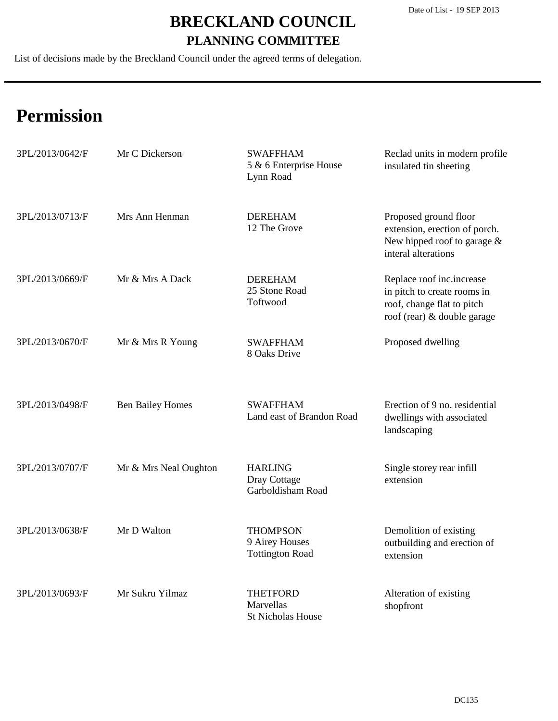List of decisions made by the Breckland Council under the agreed terms of delegation.

| 3PL/2013/0642/F | Mr C Dickerson          | <b>SWAFFHAM</b><br>5 & 6 Enterprise House<br>Lynn Road      | Reclad units in modern profile<br>insulated tin sheeting                                                              |
|-----------------|-------------------------|-------------------------------------------------------------|-----------------------------------------------------------------------------------------------------------------------|
| 3PL/2013/0713/F | Mrs Ann Henman          | <b>DEREHAM</b><br>12 The Grove                              | Proposed ground floor<br>extension, erection of porch.<br>New hipped roof to garage $\&$<br>interal alterations       |
| 3PL/2013/0669/F | Mr & Mrs A Dack         | <b>DEREHAM</b><br>25 Stone Road<br>Toftwood                 | Replace roof inc.increase<br>in pitch to create rooms in<br>roof, change flat to pitch<br>roof (rear) & double garage |
| 3PL/2013/0670/F | Mr & Mrs R Young        | <b>SWAFFHAM</b><br>8 Oaks Drive                             | Proposed dwelling                                                                                                     |
| 3PL/2013/0498/F | <b>Ben Bailey Homes</b> | <b>SWAFFHAM</b><br>Land east of Brandon Road                | Erection of 9 no. residential<br>dwellings with associated<br>landscaping                                             |
| 3PL/2013/0707/F | Mr & Mrs Neal Oughton   | <b>HARLING</b><br>Dray Cottage<br>Garboldisham Road         | Single storey rear infill<br>extension                                                                                |
| 3PL/2013/0638/F | Mr D Walton             | <b>THOMPSON</b><br>9 Airey Houses<br><b>Tottington Road</b> | Demolition of existing<br>outbuilding and erection of<br>extension                                                    |
| 3PL/2013/0693/F | Mr Sukru Yilmaz         | <b>THETFORD</b><br>Marvellas<br><b>St Nicholas House</b>    | Alteration of existing<br>shopfront                                                                                   |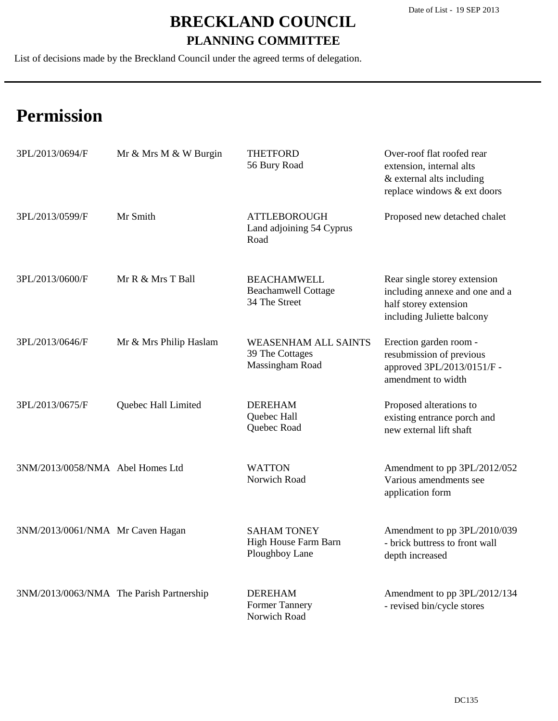List of decisions made by the Breckland Council under the agreed terms of delegation.

| 3PL/2013/0694/F                          | Mr & Mrs M & W Burgin  | <b>THETFORD</b><br>56 Bury Road                                   | Over-roof flat roofed rear<br>extension, internal alts<br>& external alts including<br>replace windows & ext doors    |
|------------------------------------------|------------------------|-------------------------------------------------------------------|-----------------------------------------------------------------------------------------------------------------------|
| 3PL/2013/0599/F                          | Mr Smith               | <b>ATTLEBOROUGH</b><br>Land adjoining 54 Cyprus<br>Road           | Proposed new detached chalet                                                                                          |
| 3PL/2013/0600/F                          | Mr R & Mrs T Ball      | <b>BEACHAMWELL</b><br><b>Beachamwell Cottage</b><br>34 The Street | Rear single storey extension<br>including annexe and one and a<br>half storey extension<br>including Juliette balcony |
| 3PL/2013/0646/F                          | Mr & Mrs Philip Haslam | <b>WEASENHAM ALL SAINTS</b><br>39 The Cottages<br>Massingham Road | Erection garden room -<br>resubmission of previous<br>approved 3PL/2013/0151/F -<br>amendment to width                |
| 3PL/2013/0675/F                          | Quebec Hall Limited    | <b>DEREHAM</b><br>Quebec Hall<br>Quebec Road                      | Proposed alterations to<br>existing entrance porch and<br>new external lift shaft                                     |
| 3NM/2013/0058/NMA Abel Homes Ltd         |                        | <b>WATTON</b><br>Norwich Road                                     | Amendment to pp 3PL/2012/052<br>Various amendments see<br>application form                                            |
| 3NM/2013/0061/NMA Mr Caven Hagan         |                        | <b>SAHAM TONEY</b><br>High House Farm Barn<br>Ploughboy Lane      | Amendment to pp 3PL/2010/039<br>- brick buttress to front wall<br>depth increased                                     |
| 3NM/2013/0063/NMA The Parish Partnership |                        | <b>DEREHAM</b><br><b>Former Tannery</b><br>Norwich Road           | Amendment to pp 3PL/2012/134<br>- revised bin/cycle stores                                                            |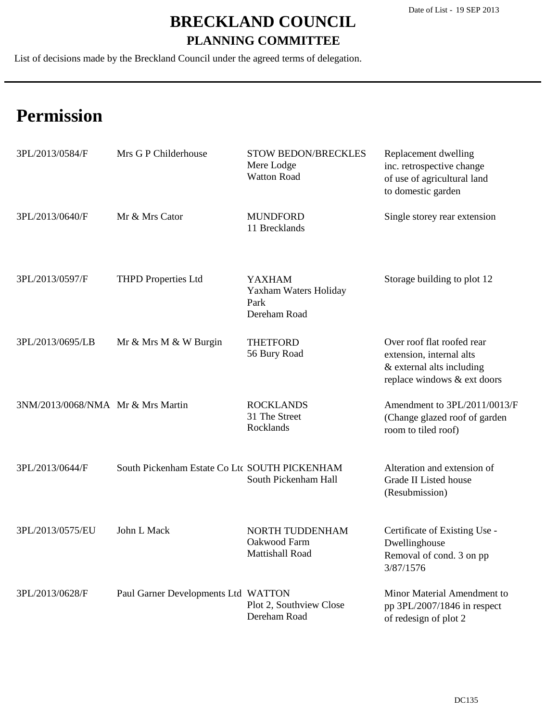List of decisions made by the Breckland Council under the agreed terms of delegation.

| 3PL/2013/0584/F                   | Mrs G P Childerhouse                          | <b>STOW BEDON/BRECKLES</b><br>Mere Lodge<br><b>Watton Road</b> | Replacement dwelling<br>inc. retrospective change<br>of use of agricultural land<br>to domestic garden             |
|-----------------------------------|-----------------------------------------------|----------------------------------------------------------------|--------------------------------------------------------------------------------------------------------------------|
| 3PL/2013/0640/F                   | Mr & Mrs Cator                                | <b>MUNDFORD</b><br>11 Brecklands                               | Single storey rear extension                                                                                       |
| 3PL/2013/0597/F                   | <b>THPD Properties Ltd</b>                    | <b>YAXHAM</b><br>Yaxham Waters Holiday<br>Park<br>Dereham Road | Storage building to plot 12                                                                                        |
| 3PL/2013/0695/LB                  | Mr & Mrs M & W Burgin                         | <b>THETFORD</b><br>56 Bury Road                                | Over roof flat roofed rear<br>extension, internal alts<br>& external alts including<br>replace windows & ext doors |
| 3NM/2013/0068/NMA Mr & Mrs Martin |                                               | <b>ROCKLANDS</b><br>31 The Street<br>Rocklands                 | Amendment to 3PL/2011/0013/F<br>(Change glazed roof of garden<br>room to tiled roof)                               |
| 3PL/2013/0644/F                   | South Pickenham Estate Co Ltc SOUTH PICKENHAM | South Pickenham Hall                                           | Alteration and extension of<br>Grade II Listed house<br>(Resubmission)                                             |
| 3PL/2013/0575/EU                  | John L Mack                                   | NORTH TUDDENHAM<br>Oakwood Farm<br>Mattishall Road             | Certificate of Existing Use -<br>Dwellinghouse<br>Removal of cond. 3 on pp<br>3/87/1576                            |
| 3PL/2013/0628/F                   | Paul Garner Developments Ltd WATTON           | Plot 2, Southview Close<br>Dereham Road                        | Minor Material Amendment to<br>pp 3PL/2007/1846 in respect<br>of redesign of plot 2                                |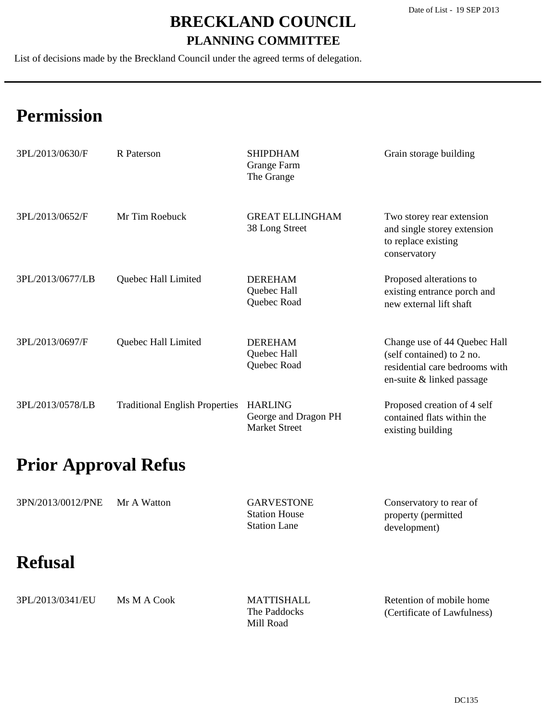List of decisions made by the Breckland Council under the agreed terms of delegation.

# **Permission**

| 3PL/2013/0630/F  | R Paterson                            | <b>SHIPDHAM</b><br>Grange Farm<br>The Grange                   | Grain storage building                                                                                                   |
|------------------|---------------------------------------|----------------------------------------------------------------|--------------------------------------------------------------------------------------------------------------------------|
| 3PL/2013/0652/F  | Mr Tim Roebuck                        | <b>GREAT ELLINGHAM</b><br>38 Long Street                       | Two storey rear extension<br>and single storey extension<br>to replace existing<br>conservatory                          |
| 3PL/2013/0677/LB | Quebec Hall Limited                   | <b>DEREHAM</b><br>Quebec Hall<br>Quebec Road                   | Proposed alterations to<br>existing entrance porch and<br>new external lift shaft                                        |
| 3PL/2013/0697/F  | Quebec Hall Limited                   | <b>DEREHAM</b><br>Quebec Hall<br>Quebec Road                   | Change use of 44 Quebec Hall<br>(self contained) to 2 no.<br>residential care bedrooms with<br>en-suite & linked passage |
| 3PL/2013/0578/LB | <b>Traditional English Properties</b> | <b>HARLING</b><br>George and Dragon PH<br><b>Market Street</b> | Proposed creation of 4 self<br>contained flats within the<br>existing building                                           |

### **Prior Approval Refus**

| 3PN/2013/0012/PNE | Mr A Watton | <b>GARVESTONE</b>    | Conservatory to rear of |
|-------------------|-------------|----------------------|-------------------------|
|                   |             | <b>Station House</b> | property (permitted     |
|                   |             | <b>Station Lane</b>  | development)            |

### **Refusal**

| 3PL/2013/0341/EU | Ms M A Cook | <b>MATTISHALL</b> | Retention of mobile home    |
|------------------|-------------|-------------------|-----------------------------|
|                  |             | The Paddocks      | (Certificate of Lawfulness) |
|                  |             | Mill Road         |                             |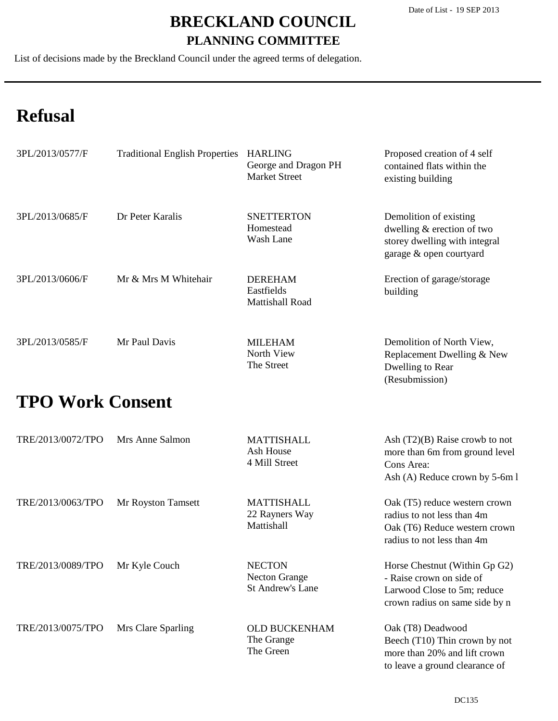(Resubmission)

#### **BRECKLAND COUNCIL PLANNING COMMITTEE**

List of decisions made by the Breckland Council under the agreed terms of delegation.

# **Refusal**

| 3PL/2013/0577/F | <b>Traditional English Properties</b> | <b>HARLING</b><br>George and Dragon PH<br><b>Market Street</b> | Proposed creation of 4 self<br>contained flats within the<br>existing building                                   |
|-----------------|---------------------------------------|----------------------------------------------------------------|------------------------------------------------------------------------------------------------------------------|
| 3PL/2013/0685/F | Dr Peter Karalis                      | <b>SNETTERTON</b><br>Homestead<br>Wash Lane                    | Demolition of existing<br>dwelling & erection of two<br>storey dwelling with integral<br>garage & open courtyard |
| 3PL/2013/0606/F | Mr & Mrs M Whitehair                  | <b>DEREHAM</b><br>Eastfields<br>Mattishall Road                | Erection of garage/storage<br>building                                                                           |
| 3PL/2013/0585/F | Mr Paul Davis                         | <b>MILEHAM</b><br>North View<br>The Street                     | Demolition of North View,<br>Replacement Dwelling & New<br>Dwelling to Rear                                      |

### **TPO Work Consent**

| TRE/2013/0072/TPO | Mrs Anne Salmon    | MATTISHALL<br>Ash House<br>4 Mill Street                         | Ash $(T2)(B)$ Raise crowb to not<br>more than 6m from ground level<br>Cons Area:<br>Ash (A) Reduce crown by 5-6m l         |
|-------------------|--------------------|------------------------------------------------------------------|----------------------------------------------------------------------------------------------------------------------------|
| TRE/2013/0063/TPO | Mr Royston Tamsett | MATTISHALL<br>22 Rayners Way<br>Mattishall                       | Oak (T5) reduce western crown<br>radius to not less than 4m<br>Oak (T6) Reduce western crown<br>radius to not less than 4m |
| TRE/2013/0089/TPO | Mr Kyle Couch      | <b>NECTON</b><br><b>Necton Grange</b><br><b>St Andrew's Lane</b> | Horse Chestnut (Within Gp G2)<br>- Raise crown on side of<br>Larwood Close to 5m; reduce<br>crown radius on same side by n |
| TRE/2013/0075/TPO | Mrs Clare Sparling | <b>OLD BUCKENHAM</b><br>The Grange<br>The Green                  | Oak (T8) Deadwood<br>Beech (T10) Thin crown by not<br>more than 20% and lift crown<br>to leave a ground clearance of       |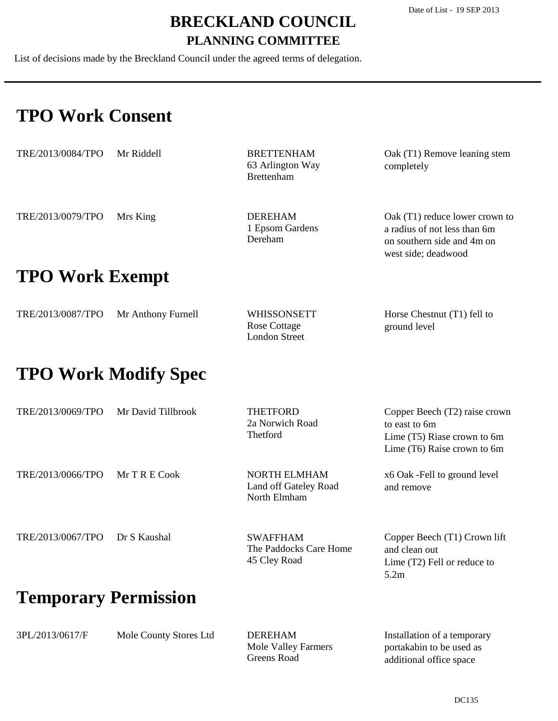List of decisions made by the Breckland Council under the agreed terms of delegation.

### **TPO Work Consent**

| TRE/2013/0084/TPO      | Mr Riddell | <b>BRETTENHAM</b><br>63 Arlington Way<br><b>Brettenham</b> | Oak (T1) Remove leaning stem<br>completely                                                                          |
|------------------------|------------|------------------------------------------------------------|---------------------------------------------------------------------------------------------------------------------|
| TRE/2013/0079/TPO      | Mrs King   | <b>DEREHAM</b><br>1 Epsom Gardens<br>Dereham               | Oak (T1) reduce lower crown to<br>a radius of not less than 6m<br>on southern side and 4m on<br>west side; deadwood |
| <b>TPO Work Exempt</b> |            |                                                            |                                                                                                                     |

| TRE/2013/0087/TPO | Mr Anthony Furnell | <b>WHISSONSETT</b> | Horse Chestnut (T1) fell to |
|-------------------|--------------------|--------------------|-----------------------------|
|                   |                    | Rose Cottage       | ground level                |
|                   |                    | London Street      |                             |

### **TPO Work Modify Spec**

| TRE/2013/0069/TPO           | Mr David Tillbrook | THETFORD<br>2a Norwich Road<br>Thetford                      | Copper Beech (T2) raise crown<br>to east to 6m<br>Lime (T5) Riase crown to 6m<br>Lime (T6) Raise crown to 6m |
|-----------------------------|--------------------|--------------------------------------------------------------|--------------------------------------------------------------------------------------------------------------|
| TRE/2013/0066/TPO           | $MrTRE$ Cook       | <b>NORTH ELMHAM</b><br>Land off Gateley Road<br>North Elmham | x6 Oak - Fell to ground level<br>and remove                                                                  |
| TRE/2013/0067/TPO           | Dr S Kaushal       | <b>SWAFFHAM</b><br>The Paddocks Care Home<br>45 Cley Road    | Copper Beech (T1) Crown lift<br>and clean out<br>Lime $(T2)$ Fell or reduce to<br>5.2m                       |
| <b>Temporary Permission</b> |                    |                                                              |                                                                                                              |

| 3PL/2013/0617/F | Mole County Stores Ltd | <b>DEREHAM</b>      | Installation of a temporary |
|-----------------|------------------------|---------------------|-----------------------------|
|                 |                        | Mole Valley Farmers | portakabin to be used as    |
|                 |                        | Greens Road         | additional office space     |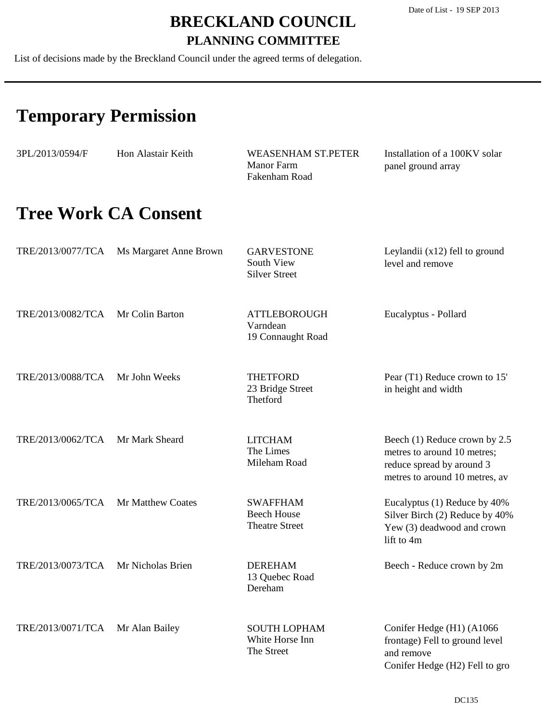List of decisions made by the Breckland Council under the agreed terms of delegation.

# **Temporary Permission**

| 3PL/2013/0594/F   | Hon Alastair Keith          | <b>WEASENHAM ST.PETER</b><br><b>Manor Farm</b><br>Fakenham Road | Installation of a 100KV solar<br>panel ground array                                                                         |
|-------------------|-----------------------------|-----------------------------------------------------------------|-----------------------------------------------------------------------------------------------------------------------------|
|                   | <b>Tree Work CA Consent</b> |                                                                 |                                                                                                                             |
| TRE/2013/0077/TCA | Ms Margaret Anne Brown      | <b>GARVESTONE</b><br>South View<br><b>Silver Street</b>         | Leylandii $(x12)$ fell to ground<br>level and remove                                                                        |
| TRE/2013/0082/TCA | Mr Colin Barton             | <b>ATTLEBOROUGH</b><br>Varndean<br>19 Connaught Road            | Eucalyptus - Pollard                                                                                                        |
| TRE/2013/0088/TCA | Mr John Weeks               | <b>THETFORD</b><br>23 Bridge Street<br>Thetford                 | Pear (T1) Reduce crown to 15'<br>in height and width                                                                        |
| TRE/2013/0062/TCA | Mr Mark Sheard              | <b>LITCHAM</b><br>The Limes<br>Mileham Road                     | Beech (1) Reduce crown by 2.5<br>metres to around 10 metres;<br>reduce spread by around 3<br>metres to around 10 metres, av |
| TRE/2013/0065/TCA | Mr Matthew Coates           | <b>SWAFFHAM</b><br><b>Beech House</b><br><b>Theatre Street</b>  | Eucalyptus (1) Reduce by 40%<br>Silver Birch (2) Reduce by 40%<br>Yew (3) deadwood and crown<br>lift to 4m                  |
| TRE/2013/0073/TCA | Mr Nicholas Brien           | <b>DEREHAM</b><br>13 Quebec Road<br>Dereham                     | Beech - Reduce crown by 2m                                                                                                  |
| TRE/2013/0071/TCA | Mr Alan Bailey              | <b>SOUTH LOPHAM</b><br>White Horse Inn<br>The Street            | Conifer Hedge (H1) (A1066<br>frontage) Fell to ground level<br>and remove<br>Conifer Hedge (H2) Fell to gro                 |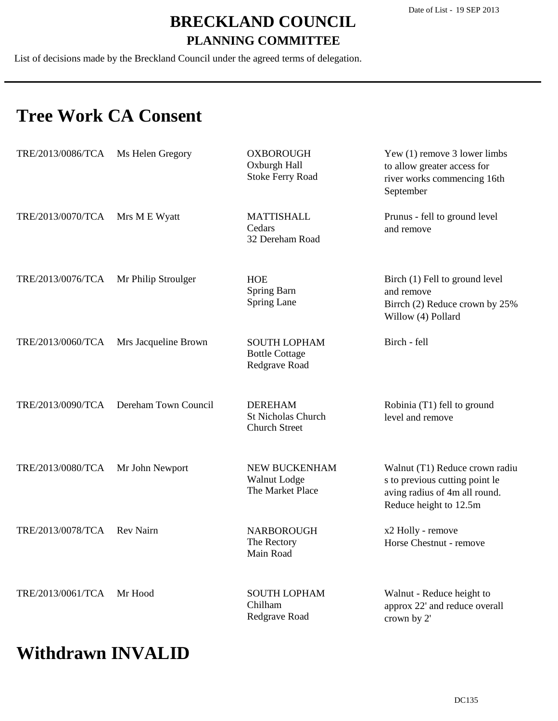List of decisions made by the Breckland Council under the agreed terms of delegation.

### **Tree Work CA Consent**

| TRE/2013/0086/TCA | Ms Helen Gregory     | <b>OXBOROUGH</b><br>Oxburgh Hall<br><b>Stoke Ferry Road</b>         | Yew $(1)$ remove 3 lower limbs<br>to allow greater access for<br>river works commencing 16th<br>September                   |
|-------------------|----------------------|---------------------------------------------------------------------|-----------------------------------------------------------------------------------------------------------------------------|
| TRE/2013/0070/TCA | Mrs M E Wyatt        | <b>MATTISHALL</b><br>Cedars<br>32 Dereham Road                      | Prunus - fell to ground level<br>and remove                                                                                 |
| TRE/2013/0076/TCA | Mr Philip Stroulger  | <b>HOE</b><br>Spring Barn<br>Spring Lane                            | Birch (1) Fell to ground level<br>and remove<br>Birrch (2) Reduce crown by 25%<br>Willow (4) Pollard                        |
| TRE/2013/0060/TCA | Mrs Jacqueline Brown | <b>SOUTH LOPHAM</b><br><b>Bottle Cottage</b><br>Redgrave Road       | Birch - fell                                                                                                                |
| TRE/2013/0090/TCA | Dereham Town Council | <b>DEREHAM</b><br><b>St Nicholas Church</b><br><b>Church Street</b> | Robinia (T1) fell to ground<br>level and remove                                                                             |
| TRE/2013/0080/TCA | Mr John Newport      | NEW BUCKENHAM<br>Walnut Lodge<br>The Market Place                   | Walnut (T1) Reduce crown radiu<br>s to previous cutting point le<br>aving radius of 4m all round.<br>Reduce height to 12.5m |
| TRE/2013/0078/TCA | <b>Rev Nairn</b>     | <b>NARBOROUGH</b><br>The Rectory<br>Main Road                       | x2 Holly - remove<br>Horse Chestnut - remove                                                                                |
| TRE/2013/0061/TCA | Mr Hood              | <b>SOUTH LOPHAM</b><br>Chilham<br>Redgrave Road                     | Walnut - Reduce height to<br>approx 22' and reduce overall<br>crown by 2'                                                   |

### **Withdrawn INVALID**